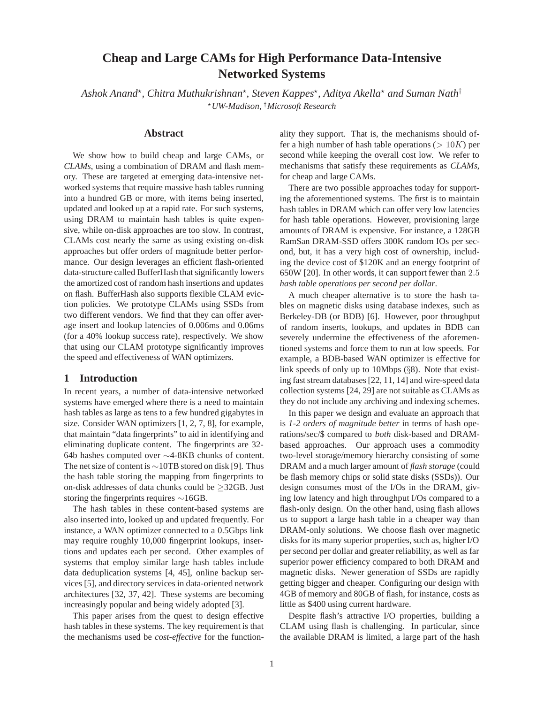# **Cheap and Large CAMs for High Performance Data-Intensive Networked Systems**

 $A$ shok Anand\*, Chitra Muthukrishnan\*, Steven Kappes\*, Aditya Akella\* and Suman Nath<sup>†</sup> <sup>⋆</sup>*UW-Madison,* †*Microsoft Research*

### **Abstract**

We show how to build cheap and large CAMs, or *CLAMs*, using a combination of DRAM and flash memory. These are targeted at emerging data-intensive networked systems that require massive hash tables running into a hundred GB or more, with items being inserted, updated and looked up at a rapid rate. For such systems, using DRAM to maintain hash tables is quite expensive, while on-disk approaches are too slow. In contrast, CLAMs cost nearly the same as using existing on-disk approaches but offer orders of magnitude better performance. Our design leverages an efficient flash-oriented data-structure called BufferHash that significantly lowers the amortized cost of random hash insertions and updates on flash. BufferHash also supports flexible CLAM eviction policies. We prototype CLAMs using SSDs from two different vendors. We find that they can offer average insert and lookup latencies of 0.006ms and 0.06ms (for a 40% lookup success rate), respectively. We show that using our CLAM prototype significantly improves the speed and effectiveness of WAN optimizers.

### **1 Introduction**

In recent years, a number of data-intensive networked systems have emerged where there is a need to maintain hash tables as large as tens to a few hundred gigabytes in size. Consider WAN optimizers [1, 2, 7, 8], for example, that maintain "data fingerprints" to aid in identifying and eliminating duplicate content. The fingerprints are 32- 64b hashes computed over ∼4-8KB chunks of content. The net size of content is  $\sim$ 10TB stored on disk [9]. Thus the hash table storing the mapping from fingerprints to on-disk addresses of data chunks could be  $\geq$ 32GB. Just storing the fingerprints requires ∼16GB.

The hash tables in these content-based systems are also inserted into, looked up and updated frequently. For instance, a WAN optimizer connected to a 0.5Gbps link may require roughly 10,000 fingerprint lookups, insertions and updates each per second. Other examples of systems that employ similar large hash tables include data deduplication systems [4, 45], online backup services [5], and directory services in data-oriented network architectures [32, 37, 42]. These systems are becoming increasingly popular and being widely adopted [3].

This paper arises from the quest to design effective hash tables in these systems. The key requirement is that the mechanisms used be *cost-effective* for the functionality they support. That is, the mechanisms should offer a high number of hash table operations ( $> 10K$ ) per second while keeping the overall cost low. We refer to mechanisms that satisfy these requirements as *CLAMs*, for cheap and large CAMs.

There are two possible approaches today for supporting the aforementioned systems. The first is to maintain hash tables in DRAM which can offer very low latencies for hash table operations. However, provisioning large amounts of DRAM is expensive. For instance, a 128GB RamSan DRAM-SSD offers 300K random IOs per second, but, it has a very high cost of ownership, including the device cost of \$120K and an energy footprint of 650W [20]. In other words, it can support fewer than 2.5 *hash table operations per second per dollar*.

A much cheaper alternative is to store the hash tables on magnetic disks using database indexes, such as Berkeley-DB (or BDB) [6]. However, poor throughput of random inserts, lookups, and updates in BDB can severely undermine the effectiveness of the aforementioned systems and force them to run at low speeds. For example, a BDB-based WAN optimizer is effective for link speeds of only up to 10Mbps (§8). Note that existing fast stream databases [22, 11, 14] and wire-speed data collection systems [24, 29] are not suitable as CLAMs as they do not include any archiving and indexing schemes.

In this paper we design and evaluate an approach that is *1-2 orders of magnitude better* in terms of hash operations/sec/\$ compared to *both* disk-based and DRAMbased approaches. Our approach uses a commodity two-level storage/memory hierarchy consisting of some DRAM and a much larger amount of *flash storage* (could be flash memory chips or solid state disks (SSDs)). Our design consumes most of the I/Os in the DRAM, giving low latency and high throughput I/Os compared to a flash-only design. On the other hand, using flash allows us to support a large hash table in a cheaper way than DRAM-only solutions. We choose flash over magnetic disks for its many superior properties, such as, higher I/O per second per dollar and greater reliability, as well as far superior power efficiency compared to both DRAM and magnetic disks. Newer generation of SSDs are rapidly getting bigger and cheaper. Configuring our design with 4GB of memory and 80GB of flash, for instance, costs as little as \$400 using current hardware.

Despite flash's attractive I/O properties, building a CLAM using flash is challenging. In particular, since the available DRAM is limited, a large part of the hash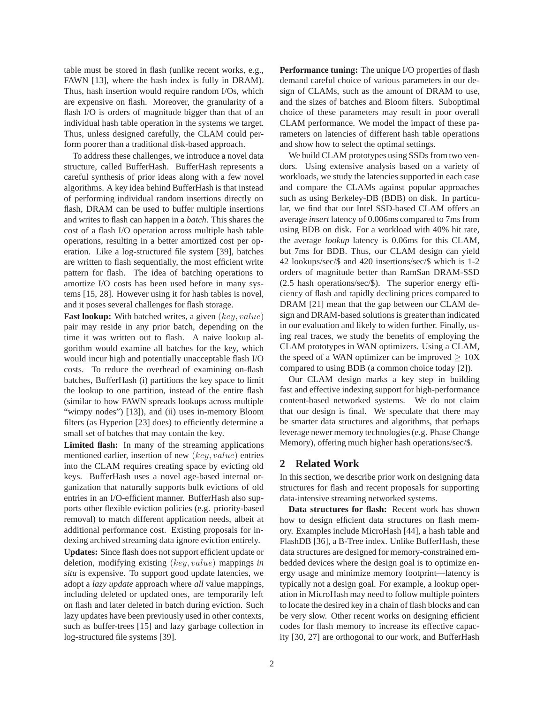table must be stored in flash (unlike recent works, e.g., FAWN [13], where the hash index is fully in DRAM). Thus, hash insertion would require random I/Os, which are expensive on flash. Moreover, the granularity of a flash I/O is orders of magnitude bigger than that of an individual hash table operation in the systems we target. Thus, unless designed carefully, the CLAM could perform poorer than a traditional disk-based approach.

To address these challenges, we introduce a novel data structure, called BufferHash. BufferHash represents a careful synthesis of prior ideas along with a few novel algorithms. A key idea behind BufferHash is that instead of performing individual random insertions directly on flash, DRAM can be used to buffer multiple insertions and writes to flash can happen in a *batch*. This shares the cost of a flash I/O operation across multiple hash table operations, resulting in a better amortized cost per operation. Like a log-structured file system [39], batches are written to flash sequentially, the most efficient write pattern for flash. The idea of batching operations to amortize I/O costs has been used before in many systems [15, 28]. However using it for hash tables is novel, and it poses several challenges for flash storage.

**Fast lookup:** With batched writes, a given (key, value) pair may reside in any prior batch, depending on the time it was written out to flash. A naive lookup algorithm would examine all batches for the key, which would incur high and potentially unacceptable flash I/O costs. To reduce the overhead of examining on-flash batches, BufferHash (i) partitions the key space to limit the lookup to one partition, instead of the entire flash (similar to how FAWN spreads lookups across multiple "wimpy nodes") [13]), and (ii) uses in-memory Bloom filters (as Hyperion [23] does) to efficiently determine a small set of batches that may contain the key.

**Limited flash:** In many of the streaming applications mentioned earlier, insertion of new (key, value) entries into the CLAM requires creating space by evicting old keys. BufferHash uses a novel age-based internal organization that naturally supports bulk evictions of old entries in an I/O-efficient manner. BufferHash also supports other flexible eviction policies (e.g. priority-based removal) to match different application needs, albeit at additional performance cost. Existing proposals for indexing archived streaming data ignore eviction entirely.

**Updates:** Since flash does not support efficient update or deletion, modifying existing (key, value) mappings *in situ* is expensive. To support good update latencies, we adopt a *lazy update* approach where *all* value mappings, including deleted or updated ones, are temporarily left on flash and later deleted in batch during eviction. Such lazy updates have been previously used in other contexts, such as buffer-trees [15] and lazy garbage collection in log-structured file systems [39].

**Performance tuning:** The unique I/O properties of flash demand careful choice of various parameters in our design of CLAMs, such as the amount of DRAM to use, and the sizes of batches and Bloom filters. Suboptimal choice of these parameters may result in poor overall CLAM performance. We model the impact of these parameters on latencies of different hash table operations and show how to select the optimal settings.

We build CLAM prototypes using SSDs from two vendors. Using extensive analysis based on a variety of workloads, we study the latencies supported in each case and compare the CLAMs against popular approaches such as using Berkeley-DB (BDB) on disk. In particular, we find that our Intel SSD-based CLAM offers an average *insert* latency of 0.006ms compared to 7ms from using BDB on disk. For a workload with 40% hit rate, the average *lookup* latency is 0.06ms for this CLAM, but 7ms for BDB. Thus, our CLAM design can yield 42 lookups/sec/\$ and 420 insertions/sec/\$ which is 1-2 orders of magnitude better than RamSan DRAM-SSD (2.5 hash operations/sec/\$). The superior energy efficiency of flash and rapidly declining prices compared to DRAM [21] mean that the gap between our CLAM design and DRAM-based solutions is greater than indicated in our evaluation and likely to widen further. Finally, using real traces, we study the benefits of employing the CLAM prototypes in WAN optimizers. Using a CLAM, the speed of a WAN optimizer can be improved  $\geq 10X$ compared to using BDB (a common choice today [2]).

Our CLAM design marks a key step in building fast and effective indexing support for high-performance content-based networked systems. We do not claim that our design is final. We speculate that there may be smarter data structures and algorithms, that perhaps leverage newer memory technologies (e.g. Phase Change Memory), offering much higher hash operations/sec/\$.

### **2 Related Work**

In this section, we describe prior work on designing data structures for flash and recent proposals for supporting data-intensive streaming networked systems.

**Data structures for flash:** Recent work has shown how to design efficient data structures on flash memory. Examples include MicroHash [44], a hash table and FlashDB [36], a B-Tree index. Unlike BufferHash, these data structures are designed for memory-constrained embedded devices where the design goal is to optimize energy usage and minimize memory footprint—latency is typically not a design goal. For example, a lookup operation in MicroHash may need to follow multiple pointers to locate the desired key in a chain of flash blocks and can be very slow. Other recent works on designing efficient codes for flash memory to increase its effective capacity [30, 27] are orthogonal to our work, and BufferHash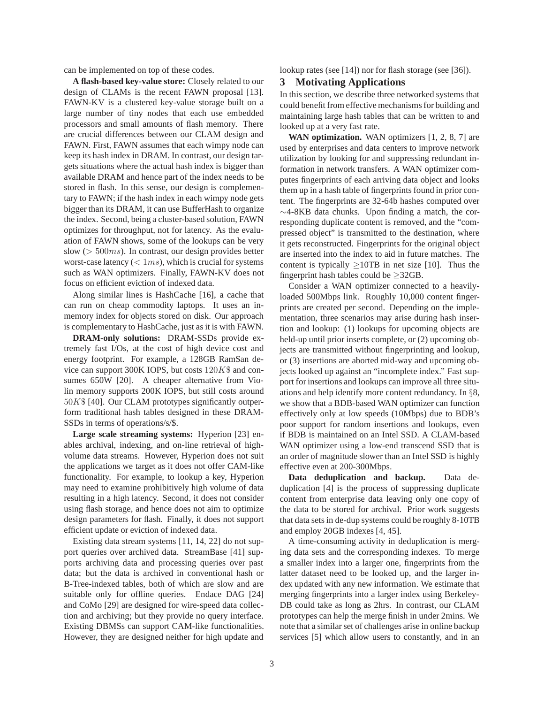can be implemented on top of these codes.

**A flash-based key-value store:** Closely related to our design of CLAMs is the recent FAWN proposal [13]. FAWN-KV is a clustered key-value storage built on a large number of tiny nodes that each use embedded processors and small amounts of flash memory. There are crucial differences between our CLAM design and FAWN. First, FAWN assumes that each wimpy node can keep its hash index in DRAM. In contrast, our design targets situations where the actual hash index is bigger than available DRAM and hence part of the index needs to be stored in flash. In this sense, our design is complementary to FAWN; if the hash index in each wimpy node gets bigger than its DRAM, it can use BufferHash to organize the index. Second, being a cluster-based solution, FAWN optimizes for throughput, not for latency. As the evaluation of FAWN shows, some of the lookups can be very slow ( $> 500ms$ ). In contrast, our design provides better worst-case latency  $(< 1ms)$ , which is crucial for systems such as WAN optimizers. Finally, FAWN-KV does not focus on efficient eviction of indexed data.

Along similar lines is HashCache [16], a cache that can run on cheap commodity laptops. It uses an inmemory index for objects stored on disk. Our approach is complementary to HashCache, just as it is with FAWN.

**DRAM-only solutions:** DRAM-SSDs provide extremely fast I/Os, at the cost of high device cost and energy footprint. For example, a 128GB RamSan device can support 300K IOPS, but costs  $120K\$ \$ and consumes 650W [20]. A cheaper alternative from Violin memory supports 200K IOPS, but still costs around 50K\$ [40]. Our CLAM prototypes significantly outperform traditional hash tables designed in these DRAM-SSDs in terms of operations/s/\$.

**Large scale streaming systems:** Hyperion [23] enables archival, indexing, and on-line retrieval of highvolume data streams. However, Hyperion does not suit the applications we target as it does not offer CAM-like functionality. For example, to lookup a key, Hyperion may need to examine prohibitively high volume of data resulting in a high latency. Second, it does not consider using flash storage, and hence does not aim to optimize design parameters for flash. Finally, it does not support efficient update or eviction of indexed data.

Existing data stream systems [11, 14, 22] do not support queries over archived data. StreamBase [41] supports archiving data and processing queries over past data; but the data is archived in conventional hash or B-Tree-indexed tables, both of which are slow and are suitable only for offline queries. Endace DAG [24] and CoMo [29] are designed for wire-speed data collection and archiving; but they provide no query interface. Existing DBMSs can support CAM-like functionalities. However, they are designed neither for high update and lookup rates (see [14]) nor for flash storage (see [36]).

### **3 Motivating Applications**

In this section, we describe three networked systems that could benefit from effective mechanisms for building and maintaining large hash tables that can be written to and looked up at a very fast rate.

**WAN optimization.** WAN optimizers [1, 2, 8, 7] are used by enterprises and data centers to improve network utilization by looking for and suppressing redundant information in network transfers. A WAN optimizer computes fingerprints of each arriving data object and looks them up in a hash table of fingerprints found in prior content. The fingerprints are 32-64b hashes computed over ∼4-8KB data chunks. Upon finding a match, the corresponding duplicate content is removed, and the "compressed object" is transmitted to the destination, where it gets reconstructed. Fingerprints for the original object are inserted into the index to aid in future matches. The content is typically  $\geq 10$ TB in net size [10]. Thus the fingerprint hash tables could be  $\geq$ 32GB.

Consider a WAN optimizer connected to a heavilyloaded 500Mbps link. Roughly 10,000 content fingerprints are created per second. Depending on the implementation, three scenarios may arise during hash insertion and lookup: (1) lookups for upcoming objects are held-up until prior inserts complete, or (2) upcoming objects are transmitted without fingerprinting and lookup, or (3) insertions are aborted mid-way and upcoming objects looked up against an "incomplete index." Fast support for insertions and lookups can improve all three situations and help identify more content redundancy. In §8, we show that a BDB-based WAN optimizer can function effectively only at low speeds (10Mbps) due to BDB's poor support for random insertions and lookups, even if BDB is maintained on an Intel SSD. A CLAM-based WAN optimizer using a low-end transcend SSD that is an order of magnitude slower than an Intel SSD is highly effective even at 200-300Mbps.

**Data deduplication and backup.** Data deduplication [4] is the process of suppressing duplicate content from enterprise data leaving only one copy of the data to be stored for archival. Prior work suggests that data sets in de-dup systems could be roughly 8-10TB and employ 20GB indexes [4, 45].

A time-consuming activity in deduplication is merging data sets and the corresponding indexes. To merge a smaller index into a larger one, fingerprints from the latter dataset need to be looked up, and the larger index updated with any new information. We estimate that merging fingerprints into a larger index using Berkeley-DB could take as long as 2hrs. In contrast, our CLAM prototypes can help the merge finish in under 2mins. We note that a similar set of challenges arise in online backup services [5] which allow users to constantly, and in an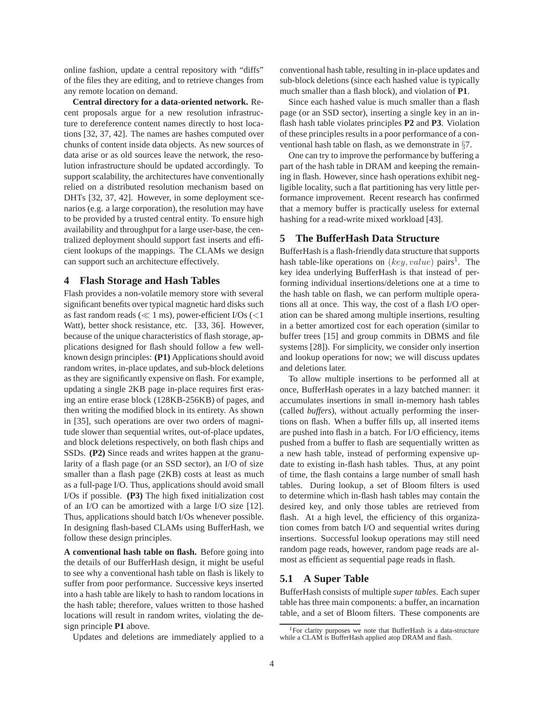online fashion, update a central repository with "diffs" of the files they are editing, and to retrieve changes from any remote location on demand.

**Central directory for a data-oriented network.** Recent proposals argue for a new resolution infrastructure to dereference content names directly to host locations [32, 37, 42]. The names are hashes computed over chunks of content inside data objects. As new sources of data arise or as old sources leave the network, the resolution infrastructure should be updated accordingly. To support scalability, the architectures have conventionally relied on a distributed resolution mechanism based on DHTs [32, 37, 42]. However, in some deployment scenarios (e.g. a large corporation), the resolution may have to be provided by a trusted central entity. To ensure high availability and throughput for a large user-base, the centralized deployment should support fast inserts and efficient lookups of the mappings. The CLAMs we design can support such an architecture effectively.

### **4 Flash Storage and Hash Tables**

Flash provides a non-volatile memory store with several significant benefits over typical magnetic hard disks such as fast random reads ( $\ll$  1 ms), power-efficient I/Os ( $\lt$ 1 Watt), better shock resistance, etc. [33, 36]. However, because of the unique characteristics of flash storage, applications designed for flash should follow a few wellknown design principles: **(P1)** Applications should avoid random writes, in-place updates, and sub-block deletions as they are significantly expensive on flash. For example, updating a single 2KB page in-place requires first erasing an entire erase block (128KB-256KB) of pages, and then writing the modified block in its entirety. As shown in [35], such operations are over two orders of magnitude slower than sequential writes, out-of-place updates, and block deletions respectively, on both flash chips and SSDs. **(P2)** Since reads and writes happen at the granularity of a flash page (or an SSD sector), an I/O of size smaller than a flash page (2KB) costs at least as much as a full-page I/O. Thus, applications should avoid small I/Os if possible. **(P3)** The high fixed initialization cost of an I/O can be amortized with a large I/O size [12]. Thus, applications should batch I/Os whenever possible. In designing flash-based CLAMs using BufferHash, we follow these design principles.

**A conventional hash table on flash.** Before going into the details of our BufferHash design, it might be useful to see why a conventional hash table on flash is likely to suffer from poor performance. Successive keys inserted into a hash table are likely to hash to random locations in the hash table; therefore, values written to those hashed locations will result in random writes, violating the design principle **P1** above.

Updates and deletions are immediately applied to a

conventional hash table, resulting in in-place updates and sub-block deletions (since each hashed value is typically much smaller than a flash block), and violation of **P1**.

Since each hashed value is much smaller than a flash page (or an SSD sector), inserting a single key in an inflash hash table violates principles **P2** and **P3**. Violation of these principles results in a poor performance of a conventional hash table on flash, as we demonstrate in §7.

One can try to improve the performance by buffering a part of the hash table in DRAM and keeping the remaining in flash. However, since hash operations exhibit negligible locality, such a flat partitioning has very little performance improvement. Recent research has confirmed that a memory buffer is practically useless for external hashing for a read-write mixed workload [43].

# **5 The BufferHash Data Structure**

BufferHash is a flash-friendly data structure that supports hash table-like operations on  $(key, value)$  pairs<sup>1</sup>. The key idea underlying BufferHash is that instead of performing individual insertions/deletions one at a time to the hash table on flash, we can perform multiple operations all at once. This way, the cost of a flash I/O operation can be shared among multiple insertions, resulting in a better amortized cost for each operation (similar to buffer trees [15] and group commits in DBMS and file systems [28]). For simplicity, we consider only insertion and lookup operations for now; we will discuss updates and deletions later.

To allow multiple insertions to be performed all at once, BufferHash operates in a lazy batched manner: it accumulates insertions in small in-memory hash tables (called *buffers*), without actually performing the insertions on flash. When a buffer fills up, all inserted items are pushed into flash in a batch. For I/O efficiency, items pushed from a buffer to flash are sequentially written as a new hash table, instead of performing expensive update to existing in-flash hash tables. Thus, at any point of time, the flash contains a large number of small hash tables. During lookup, a set of Bloom filters is used to determine which in-flash hash tables may contain the desired key, and only those tables are retrieved from flash. At a high level, the efficiency of this organization comes from batch I/O and sequential writes during insertions. Successful lookup operations may still need random page reads, however, random page reads are almost as efficient as sequential page reads in flash.

### **5.1 A Super Table**

BufferHash consists of multiple *super tables*. Each super table has three main components: a buffer, an incarnation table, and a set of Bloom filters. These components are

<sup>&</sup>lt;sup>1</sup>For clarity purposes we note that BufferHash is a data-structure while a CLAM is BufferHash applied atop DRAM and flash.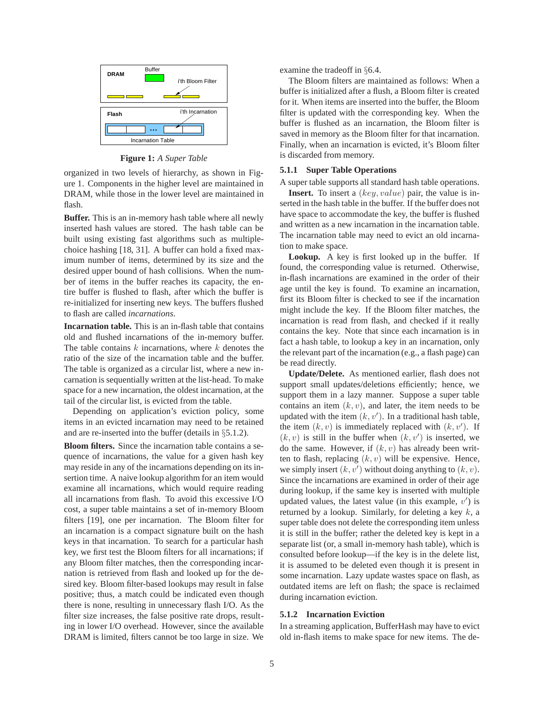

**Figure 1:** *A Super Table*

organized in two levels of hierarchy, as shown in Figure 1. Components in the higher level are maintained in DRAM, while those in the lower level are maintained in flash.

**Buffer.** This is an in-memory hash table where all newly inserted hash values are stored. The hash table can be built using existing fast algorithms such as multiplechoice hashing [18, 31]. A buffer can hold a fixed maximum number of items, determined by its size and the desired upper bound of hash collisions. When the number of items in the buffer reaches its capacity, the entire buffer is flushed to flash, after which the buffer is re-initialized for inserting new keys. The buffers flushed to flash are called *incarnations*.

**Incarnation table.** This is an in-flash table that contains old and flushed incarnations of the in-memory buffer. The table contains  $k$  incarnations, where  $k$  denotes the ratio of the size of the incarnation table and the buffer. The table is organized as a circular list, where a new incarnation is sequentially written at the list-head. To make space for a new incarnation, the oldest incarnation, at the tail of the circular list, is evicted from the table.

Depending on application's eviction policy, some items in an evicted incarnation may need to be retained and are re-inserted into the buffer (details in §5.1.2).

**Bloom filters.** Since the incarnation table contains a sequence of incarnations, the value for a given hash key may reside in any of the incarnations depending on its insertion time. A naive lookup algorithm for an item would examine all incarnations, which would require reading all incarnations from flash. To avoid this excessive I/O cost, a super table maintains a set of in-memory Bloom filters [19], one per incarnation. The Bloom filter for an incarnation is a compact signature built on the hash keys in that incarnation. To search for a particular hash key, we first test the Bloom filters for all incarnations; if any Bloom filter matches, then the corresponding incarnation is retrieved from flash and looked up for the desired key. Bloom filter-based lookups may result in false positive; thus, a match could be indicated even though there is none, resulting in unnecessary flash I/O. As the filter size increases, the false positive rate drops, resulting in lower I/O overhead. However, since the available DRAM is limited, filters cannot be too large in size. We examine the tradeoff in §6.4.

The Bloom filters are maintained as follows: When a buffer is initialized after a flush, a Bloom filter is created for it. When items are inserted into the buffer, the Bloom filter is updated with the corresponding key. When the buffer is flushed as an incarnation, the Bloom filter is saved in memory as the Bloom filter for that incarnation. Finally, when an incarnation is evicted, it's Bloom filter is discarded from memory.

#### **5.1.1 Super Table Operations**

A super table supports all standard hash table operations.

**Insert.** To insert a (key, value) pair, the value is inserted in the hash table in the buffer. If the buffer does not have space to accommodate the key, the buffer is flushed and written as a new incarnation in the incarnation table. The incarnation table may need to evict an old incarnation to make space.

**Lookup.** A key is first looked up in the buffer. If found, the corresponding value is returned. Otherwise, in-flash incarnations are examined in the order of their age until the key is found. To examine an incarnation, first its Bloom filter is checked to see if the incarnation might include the key. If the Bloom filter matches, the incarnation is read from flash, and checked if it really contains the key. Note that since each incarnation is in fact a hash table, to lookup a key in an incarnation, only the relevant part of the incarnation (e.g., a flash page) can be read directly.

**Update/Delete.** As mentioned earlier, flash does not support small updates/deletions efficiently; hence, we support them in a lazy manner. Suppose a super table contains an item  $(k, v)$ , and later, the item needs to be updated with the item  $(k, v')$ . In a traditional hash table, the item  $(k, v)$  is immediately replaced with  $(k, v')$ . If  $(k, v)$  is still in the buffer when  $(k, v')$  is inserted, we do the same. However, if  $(k, v)$  has already been written to flash, replacing  $(k, v)$  will be expensive. Hence, we simply insert  $(k, v')$  without doing anything to  $(k, v)$ . Since the incarnations are examined in order of their age during lookup, if the same key is inserted with multiple updated values, the latest value (in this example,  $v'$ ) is returned by a lookup. Similarly, for deleting a key  $k$ , a super table does not delete the corresponding item unless it is still in the buffer; rather the deleted key is kept in a separate list (or, a small in-memory hash table), which is consulted before lookup—if the key is in the delete list, it is assumed to be deleted even though it is present in some incarnation. Lazy update wastes space on flash, as outdated items are left on flash; the space is reclaimed during incarnation eviction.

### **5.1.2 Incarnation Eviction**

In a streaming application, BufferHash may have to evict old in-flash items to make space for new items. The de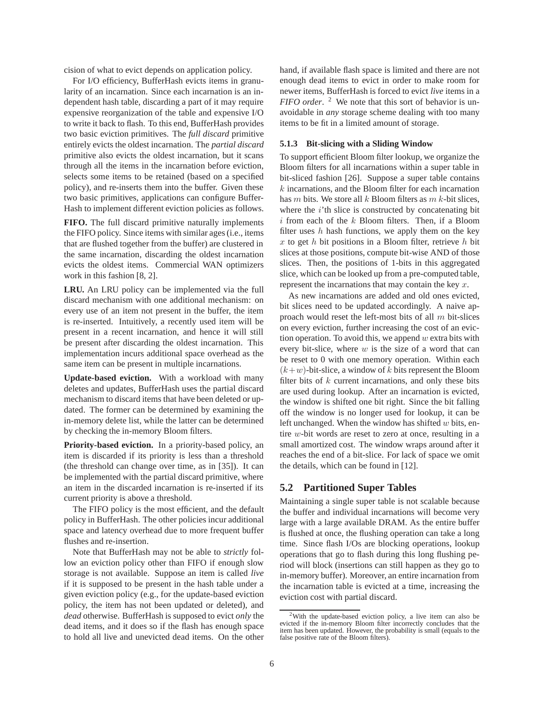cision of what to evict depends on application policy.

For I/O efficiency, BufferHash evicts items in granularity of an incarnation. Since each incarnation is an independent hash table, discarding a part of it may require expensive reorganization of the table and expensive I/O to write it back to flash. To this end, BufferHash provides two basic eviction primitives. The *full discard* primitive entirely evicts the oldest incarnation. The *partial discard* primitive also evicts the oldest incarnation, but it scans through all the items in the incarnation before eviction, selects some items to be retained (based on a specified policy), and re-inserts them into the buffer. Given these two basic primitives, applications can configure Buffer-Hash to implement different eviction policies as follows.

**FIFO.** The full discard primitive naturally implements the FIFO policy. Since items with similar ages (i.e., items that are flushed together from the buffer) are clustered in the same incarnation, discarding the oldest incarnation evicts the oldest items. Commercial WAN optimizers work in this fashion [8, 2].

**LRU.** An LRU policy can be implemented via the full discard mechanism with one additional mechanism: on every use of an item not present in the buffer, the item is re-inserted. Intuitively, a recently used item will be present in a recent incarnation, and hence it will still be present after discarding the oldest incarnation. This implementation incurs additional space overhead as the same item can be present in multiple incarnations.

**Update-based eviction.** With a workload with many deletes and updates, BufferHash uses the partial discard mechanism to discard items that have been deleted or updated. The former can be determined by examining the in-memory delete list, while the latter can be determined by checking the in-memory Bloom filters.

**Priority-based eviction.** In a priority-based policy, an item is discarded if its priority is less than a threshold (the threshold can change over time, as in [35]). It can be implemented with the partial discard primitive, where an item in the discarded incarnation is re-inserted if its current priority is above a threshold.

The FIFO policy is the most efficient, and the default policy in BufferHash. The other policies incur additional space and latency overhead due to more frequent buffer flushes and re-insertion.

Note that BufferHash may not be able to *strictly* follow an eviction policy other than FIFO if enough slow storage is not available. Suppose an item is called *live* if it is supposed to be present in the hash table under a given eviction policy (e.g., for the update-based eviction policy, the item has not been updated or deleted), and *dead* otherwise. BufferHash is supposed to evict *only* the dead items, and it does so if the flash has enough space to hold all live and unevicted dead items. On the other hand, if available flash space is limited and there are not enough dead items to evict in order to make room for newer items, BufferHash is forced to evict *live* items in a *FIFO order*. <sup>2</sup> We note that this sort of behavior is unavoidable in *any* storage scheme dealing with too many items to be fit in a limited amount of storage.

#### **5.1.3 Bit-slicing with a Sliding Window**

To support efficient Bloom filter lookup, we organize the Bloom filters for all incarnations within a super table in bit-sliced fashion [26]. Suppose a super table contains k incarnations, and the Bloom filter for each incarnation has m bits. We store all  $k$  Bloom filters as  $m$   $k$ -bit slices, where the  $i$ 'th slice is constructed by concatenating bit  $i$  from each of the  $k$  Bloom filters. Then, if a Bloom filter uses  $h$  hash functions, we apply them on the key  $x$  to get  $h$  bit positions in a Bloom filter, retrieve  $h$  bit slices at those positions, compute bit-wise AND of those slices. Then, the positions of 1-bits in this aggregated slice, which can be looked up from a pre-computed table, represent the incarnations that may contain the key  $x$ .

As new incarnations are added and old ones evicted, bit slices need to be updated accordingly. A naive approach would reset the left-most bits of all m bit-slices on every eviction, further increasing the cost of an eviction operation. To avoid this, we append  $w$  extra bits with every bit-slice, where  $w$  is the size of a word that can be reset to 0 with one memory operation. Within each  $(k+w)$ -bit-slice, a window of k bits represent the Bloom filter bits of  $k$  current incarnations, and only these bits are used during lookup. After an incarnation is evicted, the window is shifted one bit right. Since the bit falling off the window is no longer used for lookup, it can be left unchanged. When the window has shifted  $w$  bits, entire w-bit words are reset to zero at once, resulting in a small amortized cost. The window wraps around after it reaches the end of a bit-slice. For lack of space we omit the details, which can be found in [12].

# **5.2 Partitioned Super Tables**

Maintaining a single super table is not scalable because the buffer and individual incarnations will become very large with a large available DRAM. As the entire buffer is flushed at once, the flushing operation can take a long time. Since flash I/Os are blocking operations, lookup operations that go to flash during this long flushing period will block (insertions can still happen as they go to in-memory buffer). Moreover, an entire incarnation from the incarnation table is evicted at a time, increasing the eviction cost with partial discard.

<sup>2</sup>With the update-based eviction policy, a live item can also be evicted if the in-memory Bloom filter incorrectly concludes that the item has been updated. However, the probability is small (equals to the false positive rate of the Bloom filters).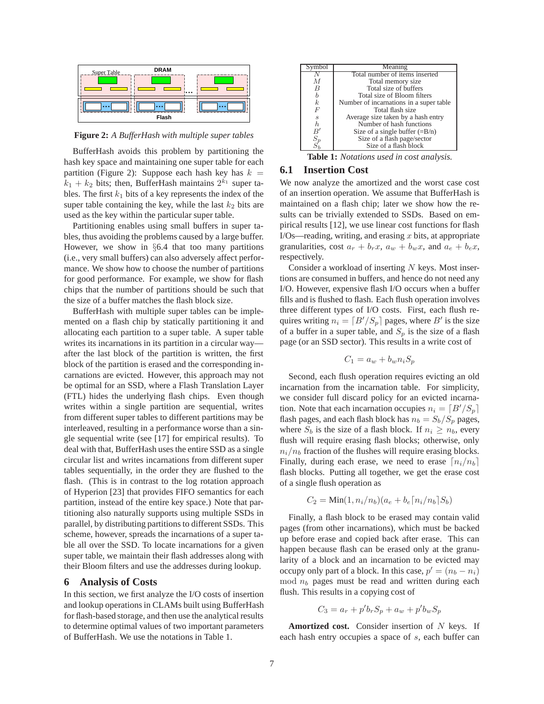

**Figure 2:** *A BufferHash with multiple super tables*

BufferHash avoids this problem by partitioning the hash key space and maintaining one super table for each partition (Figure 2): Suppose each hash key has  $k =$  $k_1 + k_2$  bits; then, BufferHash maintains  $2^{k_1}$  super tables. The first  $k_1$  bits of a key represents the index of the super table containing the key, while the last  $k_2$  bits are used as the key within the particular super table.

Partitioning enables using small buffers in super tables, thus avoiding the problems caused by a large buffer. However, we show in §6.4 that too many partitions (i.e., very small buffers) can also adversely affect performance. We show how to choose the number of partitions for good performance. For example, we show for flash chips that the number of partitions should be such that the size of a buffer matches the flash block size.

BufferHash with multiple super tables can be implemented on a flash chip by statically partitioning it and allocating each partition to a super table. A super table writes its incarnations in its partition in a circular way after the last block of the partition is written, the first block of the partition is erased and the corresponding incarnations are evicted. However, this approach may not be optimal for an SSD, where a Flash Translation Layer (FTL) hides the underlying flash chips. Even though writes within a single partition are sequential, writes from different super tables to different partitions may be interleaved, resulting in a performance worse than a single sequential write (see [17] for empirical results). To deal with that, BufferHash uses the entire SSD as a single circular list and writes incarnations from different super tables sequentially, in the order they are flushed to the flash. (This is in contrast to the log rotation approach of Hyperion [23] that provides FIFO semantics for each partition, instead of the entire key space.) Note that partitioning also naturally supports using multiple SSDs in parallel, by distributing partitions to different SSDs. This scheme, however, spreads the incarnations of a super table all over the SSD. To locate incarnations for a given super table, we maintain their flash addresses along with their Bloom filters and use the addresses during lookup.

### **6 Analysis of Costs**

In this section, we first analyze the I/O costs of insertion and lookup operations in CLAMs built using BufferHash for flash-based storage, and then use the analytical results to determine optimal values of two important parameters of BufferHash. We use the notations in Table 1.



**Table 1:** *Notations used in cost analysis.*

### **6.1 Insertion Cost**

We now analyze the amortized and the worst case cost of an insertion operation. We assume that BufferHash is maintained on a flash chip; later we show how the results can be trivially extended to SSDs. Based on empirical results [12], we use linear cost functions for flash  $I/Os$ —reading, writing, and erasing  $x$  bits, at appropriate granularities, cost  $a_r + b_rx$ ,  $a_w + b_wx$ , and  $a_e + b_ex$ , respectively.

Consider a workload of inserting  $N$  keys. Most insertions are consumed in buffers, and hence do not need any I/O. However, expensive flash I/O occurs when a buffer fills and is flushed to flash. Each flush operation involves three different types of I/O costs. First, each flush requires writing  $n_i = [B'/S_p]$  pages, where B' is the size of a buffer in a super table, and  $S_p$  is the size of a flash page (or an SSD sector). This results in a write cost of

$$
C_1 = a_w + b_w n_i S_p
$$

Second, each flush operation requires evicting an old incarnation from the incarnation table. For simplicity, we consider full discard policy for an evicted incarnation. Note that each incarnation occupies  $n_i = [B'/S_p]$ flash pages, and each flash block has  $n_b = S_b/S_p$  pages, where  $S_b$  is the size of a flash block. If  $n_i \geq n_b$ , every flush will require erasing flash blocks; otherwise, only  $n_i/n_b$  fraction of the flushes will require erasing blocks. Finally, during each erase, we need to erase  $[n_i/n_b]$ flash blocks. Putting all together, we get the erase cost of a single flush operation as

$$
C_2 = \text{Min}(1, n_i/n_b)(a_e + b_e \lceil n_i/n_b \rceil S_b)
$$

Finally, a flash block to be erased may contain valid pages (from other incarnations), which must be backed up before erase and copied back after erase. This can happen because flash can be erased only at the granularity of a block and an incarnation to be evicted may occupy only part of a block. In this case,  $p' = (n_b - n_i)$  $mod n_b$  pages must be read and written during each flush. This results in a copying cost of

$$
C_3 = a_r + p'b_r S_p + a_w + p'b_w S_p
$$

Amortized cost. Consider insertion of N keys. If each hash entry occupies a space of s, each buffer can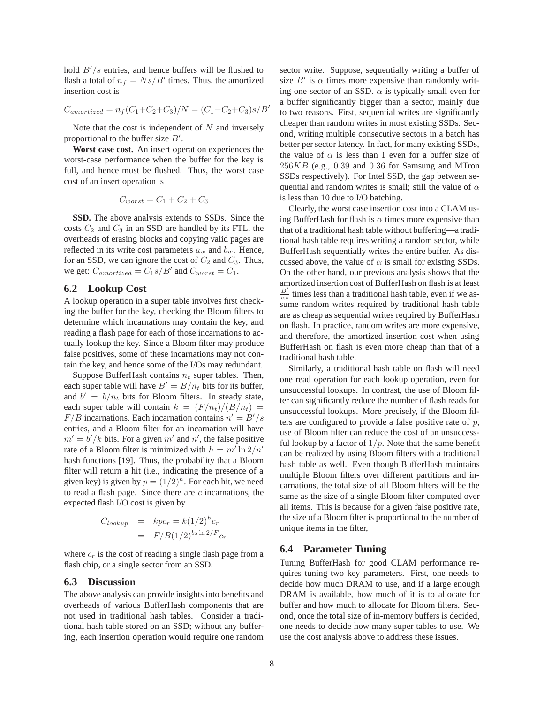hold  $B'/s$  entries, and hence buffers will be flushed to flash a total of  $n_f = Ns/B'$  times. Thus, the amortized insertion cost is

$$
C_{amortized} = n_f(C_1 + C_2 + C_3)/N = (C_1 + C_2 + C_3)s/B'
$$

Note that the cost is independent of  $N$  and inversely proportional to the buffer size  $B'$ .

**Worst case cost.** An insert operation experiences the worst-case performance when the buffer for the key is full, and hence must be flushed. Thus, the worst case cost of an insert operation is

$$
C_{worst} = C_1 + C_2 + C_3
$$

**SSD.** The above analysis extends to SSDs. Since the costs  $C_2$  and  $C_3$  in an SSD are handled by its FTL, the overheads of erasing blocks and copying valid pages are reflected in its write cost parameters  $a_w$  and  $b_w$ . Hence, for an SSD, we can ignore the cost of  $C_2$  and  $C_3$ . Thus, we get:  $C_{amortized} = C_1 s/B'$  and  $C_{worst} = C_1$ .

### **6.2 Lookup Cost**

A lookup operation in a super table involves first checking the buffer for the key, checking the Bloom filters to determine which incarnations may contain the key, and reading a flash page for each of those incarnations to actually lookup the key. Since a Bloom filter may produce false positives, some of these incarnations may not contain the key, and hence some of the I/Os may redundant.

Suppose BufferHash contains  $n_t$  super tables. Then, each super table will have  $B' = B/n_t$  bits for its buffer, and  $b' = b/n_t$  bits for Bloom filters. In steady state, each super table will contain  $k = (F/n_t)/(B/n_t)$  =  $F/B$  incarnations. Each incarnation contains  $n' = B'/s$ entries, and a Bloom filter for an incarnation will have  $m' = b'/k$  bits. For a given m' and n', the false positive rate of a Bloom filter is minimized with  $h = m' \ln 2/n'$ hash functions [19]. Thus, the probability that a Bloom filter will return a hit (i.e., indicating the presence of a given key) is given by  $p = (1/2)^h$ . For each hit, we need to read a flash page. Since there are  $c$  incarnations, the expected flash I/O cost is given by

$$
C_{lookup} = kpc_r = k(1/2)^h c_r
$$

$$
= F/B(1/2)^{bs \ln 2/F} c_r
$$

where  $c_r$  is the cost of reading a single flash page from a flash chip, or a single sector from an SSD.

### **6.3 Discussion**

The above analysis can provide insights into benefits and overheads of various BufferHash components that are not used in traditional hash tables. Consider a traditional hash table stored on an SSD; without any buffering, each insertion operation would require one random

sector write. Suppose, sequentially writing a buffer of size  $B'$  is  $\alpha$  times more expensive than randomly writing one sector of an SSD.  $\alpha$  is typically small even for a buffer significantly bigger than a sector, mainly due to two reasons. First, sequential writes are significantly cheaper than random writes in most existing SSDs. Second, writing multiple consecutive sectors in a batch has better per sector latency. In fact, for many existing SSDs, the value of  $\alpha$  is less than 1 even for a buffer size of  $256KB$  (e.g., 0.39 and 0.36 for Samsung and MTron SSDs respectively). For Intel SSD, the gap between sequential and random writes is small; still the value of  $\alpha$ is less than 10 due to I/O batching.

Clearly, the worst case insertion cost into a CLAM using BufferHash for flash is  $\alpha$  times more expensive than that of a traditional hash table without buffering—a traditional hash table requires writing a random sector, while BufferHash sequentially writes the entire buffer. As discussed above, the value of  $\alpha$  is small for existing SSDs. On the other hand, our previous analysis shows that the amortized insertion cost of BufferHash on flash is at least  $\frac{B'}{\alpha s}$  times less than a traditional hash table, even if we assume random writes required by traditional hash table are as cheap as sequential writes required by BufferHash on flash. In practice, random writes are more expensive, and therefore, the amortized insertion cost when using BufferHash on flash is even more cheap than that of a traditional hash table.

Similarly, a traditional hash table on flash will need one read operation for each lookup operation, even for unsuccessful lookups. In contrast, the use of Bloom filter can significantly reduce the number of flash reads for unsuccessful lookups. More precisely, if the Bloom filters are configured to provide a false positive rate of  $p$ , use of Bloom filter can reduce the cost of an unsuccessful lookup by a factor of  $1/p$ . Note that the same benefit can be realized by using Bloom filters with a traditional hash table as well. Even though BufferHash maintains multiple Bloom filters over different partitions and incarnations, the total size of all Bloom filters will be the same as the size of a single Bloom filter computed over all items. This is because for a given false positive rate, the size of a Bloom filter is proportional to the number of unique items in the filter,

### **6.4 Parameter Tuning**

Tuning BufferHash for good CLAM performance requires tuning two key parameters. First, one needs to decide how much DRAM to use, and if a large enough DRAM is available, how much of it is to allocate for buffer and how much to allocate for Bloom filters. Second, once the total size of in-memory buffers is decided, one needs to decide how many super tables to use. We use the cost analysis above to address these issues.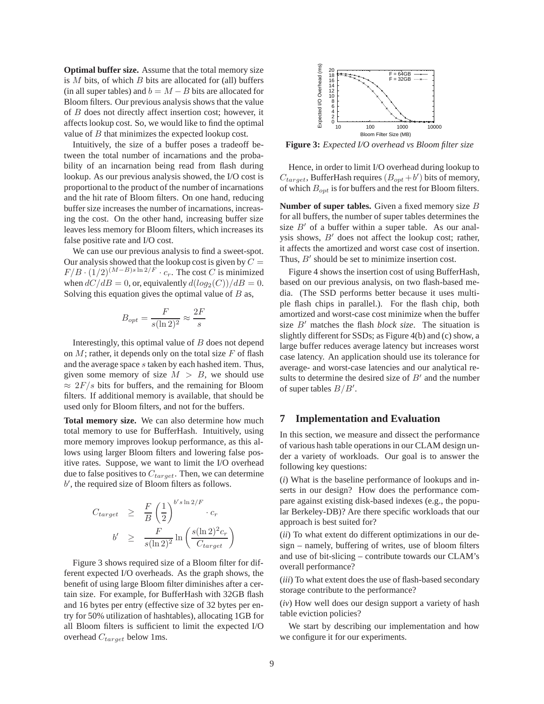**Optimal buffer size.** Assume that the total memory size is  $M$  bits, of which  $B$  bits are allocated for (all) buffers (in all super tables) and  $b = M - B$  bits are allocated for Bloom filters. Our previous analysis shows that the value of B does not directly affect insertion cost; however, it affects lookup cost. So, we would like to find the optimal value of B that minimizes the expected lookup cost.

Intuitively, the size of a buffer poses a tradeoff between the total number of incarnations and the probability of an incarnation being read from flash during lookup. As our previous analysis showed, the I/O cost is proportional to the product of the number of incarnations and the hit rate of Bloom filters. On one hand, reducing buffer size increases the number of incarnations, increasing the cost. On the other hand, increasing buffer size leaves less memory for Bloom filters, which increases its false positive rate and I/O cost.

We can use our previous analysis to find a sweet-spot. Our analysis showed that the lookup cost is given by  $C =$  $F/B \cdot (1/2)^{(M-B)s \ln 2/F} \cdot c_r$ . The cost C is minimized when  $dC/dB = 0$ , or, equivalently  $d(log_2(C))/dB = 0$ . Solving this equation gives the optimal value of  $B$  as,

$$
B_{opt} = \frac{F}{s(\ln 2)^2} \approx \frac{2F}{s}
$$

Interestingly, this optimal value of  $B$  does not depend on  $M$ ; rather, it depends only on the total size  $F$  of flash and the average space s taken by each hashed item. Thus, given some memory of size  $M > B$ , we should use  $\approx 2F/s$  bits for buffers, and the remaining for Bloom filters. If additional memory is available, that should be used only for Bloom filters, and not for the buffers.

**Total memory size.** We can also determine how much total memory to use for BufferHash. Intuitively, using more memory improves lookup performance, as this allows using larger Bloom filters and lowering false positive rates. Suppose, we want to limit the I/O overhead due to false positives to  $C_{target}$ . Then, we can determine b ′ , the required size of Bloom filters as follows.

$$
C_{target} \geq \frac{F}{B} \left(\frac{1}{2}\right)^{b's \ln 2/F} \cdot c_r
$$
  

$$
b' \geq \frac{F}{s(\ln 2)^2} \ln \left(\frac{s(\ln 2)^2 c_r}{C_{target}}\right)
$$

Figure 3 shows required size of a Bloom filter for different expected I/O overheads. As the graph shows, the benefit of using large Bloom filter diminishes after a certain size. For example, for BufferHash with 32GB flash and 16 bytes per entry (effective size of 32 bytes per entry for 50% utilization of hashtables), allocating 1GB for all Bloom filters is sufficient to limit the expected I/O overhead  $C_{target}$  below 1ms.



**Figure 3:** *Expected I/O overhead vs Bloom filter size*

Hence, in order to limit I/O overhead during lookup to  $C_{target}$ , BufferHash requires  $(B_{opt} + b')$  bits of memory, of which  $B_{opt}$  is for buffers and the rest for Bloom filters.

**Number of super tables.** Given a fixed memory size B for all buffers, the number of super tables determines the size  $B'$  of a buffer within a super table. As our analysis shows,  $B'$  does not affect the lookup cost; rather, it affects the amortized and worst case cost of insertion. Thus,  $B'$  should be set to minimize insertion cost.

Figure 4 shows the insertion cost of using BufferHash, based on our previous analysis, on two flash-based media. (The SSD performs better because it uses multiple flash chips in parallel.). For the flash chip, both amortized and worst-case cost minimize when the buffer size B′ matches the flash *block size*. The situation is slightly different for SSDs; as Figure 4(b) and (c) show, a large buffer reduces average latency but increases worst case latency. An application should use its tolerance for average- and worst-case latencies and our analytical results to determine the desired size of  $B'$  and the number of super tables  $B/B'$ .

# **7 Implementation and Evaluation**

In this section, we measure and dissect the performance of various hash table operations in our CLAM design under a variety of workloads. Our goal is to answer the following key questions:

(*i*) What is the baseline performance of lookups and inserts in our design? How does the performance compare against existing disk-based indexes (e.g., the popular Berkeley-DB)? Are there specific workloads that our approach is best suited for?

(*ii*) To what extent do different optimizations in our design – namely, buffering of writes, use of bloom filters and use of bit-slicing – contribute towards our CLAM's overall performance?

(*iii*) To what extent does the use of flash-based secondary storage contribute to the performance?

(*iv*) How well does our design support a variety of hash table eviction policies?

We start by describing our implementation and how we configure it for our experiments.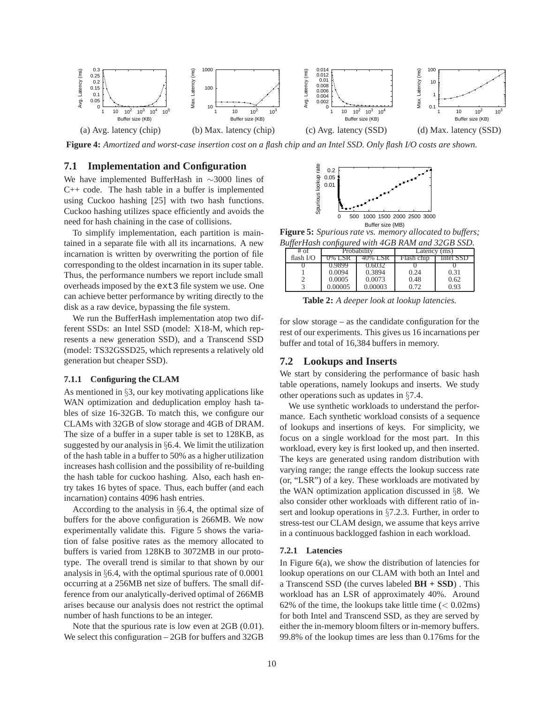

**Figure 4:** *Amortized and worst-case insertion cost on a flash chip and an Intel SSD. Only flash I/O costs are shown.*

# **7.1 Implementation and Configuration**

We have implemented BufferHash in ∼3000 lines of C++ code. The hash table in a buffer is implemented using Cuckoo hashing [25] with two hash functions. Cuckoo hashing utilizes space efficiently and avoids the need for hash chaining in the case of collisions.

To simplify implementation, each partition is maintained in a separate file with all its incarnations. A new incarnation is written by overwriting the portion of file corresponding to the oldest incarnation in its super table. Thus, the performance numbers we report include small overheads imposed by the ext3 file system we use. One can achieve better performance by writing directly to the disk as a raw device, bypassing the file system.

We run the BufferHash implementation atop two different SSDs: an Intel SSD (model: X18-M, which represents a new generation SSD), and a Transcend SSD (model: TS32GSSD25, which represents a relatively old generation but cheaper SSD).

#### **7.1.1 Configuring the CLAM**

As mentioned in §3, our key motivating applications like WAN optimization and deduplication employ hash tables of size 16-32GB. To match this, we configure our CLAMs with 32GB of slow storage and 4GB of DRAM. The size of a buffer in a super table is set to 128KB, as suggested by our analysis in §6.4. We limit the utilization of the hash table in a buffer to 50% as a higher utilization increases hash collision and the possibility of re-building the hash table for cuckoo hashing. Also, each hash entry takes 16 bytes of space. Thus, each buffer (and each incarnation) contains 4096 hash entries.

According to the analysis in §6.4, the optimal size of buffers for the above configuration is 266MB. We now experimentally validate this. Figure 5 shows the variation of false positive rates as the memory allocated to buffers is varied from 128KB to 3072MB in our prototype. The overall trend is similar to that shown by our analysis in §6.4, with the optimal spurious rate of 0.0001 occurring at a 256MB net size of buffers. The small difference from our analytically-derived optimal of 266MB arises because our analysis does not restrict the optimal number of hash functions to be an integer.

Note that the spurious rate is low even at 2GB (0.01). We select this configuration – 2GB for buffers and 32GB



**Figure 5:** *Spurious rate vs. memory allocated to buffers; BufferHash configured with 4GB RAM and 32GB SSD.*

| # of        | Probability |         | Latency (ms) |           |
|-------------|-------------|---------|--------------|-----------|
| flash $I/O$ | 0% LSR      | 40% LSR | Flash chip   | Intel SSD |
|             | 0.9899      | 0.6032  |              |           |
|             | 0.0094      | 0.3894  | 0.24         | 0.31      |
|             | 0.0005      | 0.0073  | 0.48         | 0.62      |
|             | 0.00005     | 0.00003 | 0.72         | 0.93      |

**Table 2:** *A deeper look at lookup latencies.*

for slow storage – as the candidate configuration for the rest of our experiments. This gives us 16 incarnations per buffer and total of 16,384 buffers in memory.

### **7.2 Lookups and Inserts**

We start by considering the performance of basic hash table operations, namely lookups and inserts. We study other operations such as updates in §7.4.

We use synthetic workloads to understand the performance. Each synthetic workload consists of a sequence of lookups and insertions of keys. For simplicity, we focus on a single workload for the most part. In this workload, every key is first looked up, and then inserted. The keys are generated using random distribution with varying range; the range effects the lookup success rate (or, "LSR") of a key. These workloads are motivated by the WAN optimization application discussed in §8. We also consider other workloads with different ratio of insert and lookup operations in §7.2.3. Further, in order to stress-test our CLAM design, we assume that keys arrive in a continuous backlogged fashion in each workload.

#### **7.2.1 Latencies**

In Figure  $6(a)$ , we show the distribution of latencies for lookup operations on our CLAM with both an Intel and a Transcend SSD (the curves labeled **BH + SSD**) . This workload has an LSR of approximately 40%. Around 62% of the time, the lookups take little time  $(< 0.02 \text{ms})$ for both Intel and Transcend SSD, as they are served by either the in-memory bloom filters or in-memory buffers. 99.8% of the lookup times are less than 0.176ms for the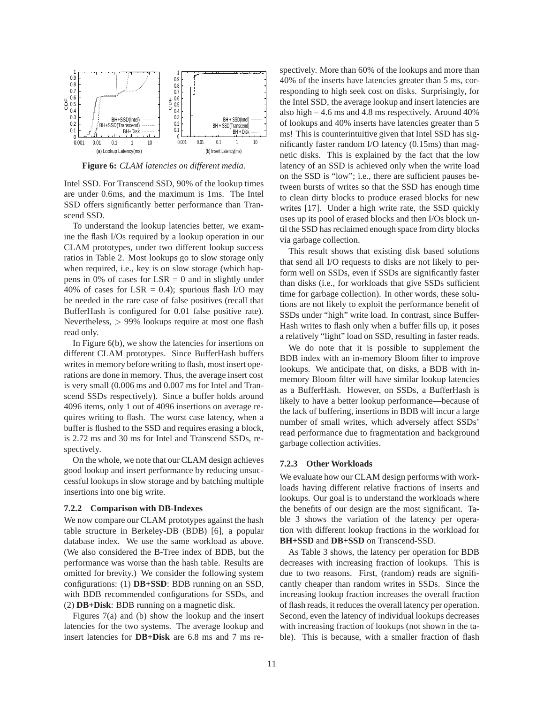

**Figure 6:** *CLAM latencies on different media.*

Intel SSD. For Transcend SSD, 90% of the lookup times are under 0.6ms, and the maximum is 1ms. The Intel SSD offers significantly better performance than Transcend SSD.

To understand the lookup latencies better, we examine the flash I/Os required by a lookup operation in our CLAM prototypes, under two different lookup success ratios in Table 2. Most lookups go to slow storage only when required, i.e., key is on slow storage (which happens in 0% of cases for  $LSR = 0$  and in slightly under 40% of cases for LSR = 0.4); spurious flash I/O may be needed in the rare case of false positives (recall that BufferHash is configured for 0.01 false positive rate). Nevertheless, > 99% lookups require at most one flash read only.

In Figure 6(b), we show the latencies for insertions on different CLAM prototypes. Since BufferHash buffers writes in memory before writing to flash, most insert operations are done in memory. Thus, the average insert cost is very small (0.006 ms and 0.007 ms for Intel and Transcend SSDs respectively). Since a buffer holds around 4096 items, only 1 out of 4096 insertions on average requires writing to flash. The worst case latency, when a buffer is flushed to the SSD and requires erasing a block, is 2.72 ms and 30 ms for Intel and Transcend SSDs, respectively.

On the whole, we note that our CLAM design achieves good lookup and insert performance by reducing unsuccessful lookups in slow storage and by batching multiple insertions into one big write.

#### **7.2.2 Comparison with DB-Indexes**

We now compare our CLAM prototypes against the hash table structure in Berkeley-DB (BDB) [6], a popular database index. We use the same workload as above. (We also considered the B-Tree index of BDB, but the performance was worse than the hash table. Results are omitted for brevity.) We consider the following system configurations: (1) **DB+SSD**: BDB running on an SSD, with BDB recommended configurations for SSDs, and (2) **DB+Disk**: BDB running on a magnetic disk.

Figures 7(a) and (b) show the lookup and the insert latencies for the two systems. The average lookup and insert latencies for **DB+Disk** are 6.8 ms and 7 ms respectively. More than 60% of the lookups and more than 40% of the inserts have latencies greater than 5 ms, corresponding to high seek cost on disks. Surprisingly, for the Intel SSD, the average lookup and insert latencies are also high – 4.6 ms and 4.8 ms respectively. Around 40% of lookups and 40% inserts have latencies greater than 5 ms! This is counterintuitive given that Intel SSD has significantly faster random I/O latency (0.15ms) than magnetic disks. This is explained by the fact that the low latency of an SSD is achieved only when the write load on the SSD is "low"; i.e., there are sufficient pauses between bursts of writes so that the SSD has enough time to clean dirty blocks to produce erased blocks for new writes [17]. Under a high write rate, the SSD quickly uses up its pool of erased blocks and then I/Os block until the SSD has reclaimed enough space from dirty blocks via garbage collection.

This result shows that existing disk based solutions that send all I/O requests to disks are not likely to perform well on SSDs, even if SSDs are significantly faster than disks (i.e., for workloads that give SSDs sufficient time for garbage collection). In other words, these solutions are not likely to exploit the performance benefit of SSDs under "high" write load. In contrast, since Buffer-Hash writes to flash only when a buffer fills up, it poses a relatively "light" load on SSD, resulting in faster reads.

We do note that it is possible to supplement the BDB index with an in-memory Bloom filter to improve lookups. We anticipate that, on disks, a BDB with inmemory Bloom filter will have similar lookup latencies as a BufferHash. However, on SSDs, a BufferHash is likely to have a better lookup performance—because of the lack of buffering, insertions in BDB will incur a large number of small writes, which adversely affect SSDs' read performance due to fragmentation and background garbage collection activities.

#### **7.2.3 Other Workloads**

We evaluate how our CLAM design performs with workloads having different relative fractions of inserts and lookups. Our goal is to understand the workloads where the benefits of our design are the most significant. Table 3 shows the variation of the latency per operation with different lookup fractions in the workload for **BH+SSD** and **DB+SSD** on Transcend-SSD.

As Table 3 shows, the latency per operation for BDB decreases with increasing fraction of lookups. This is due to two reasons. First, (random) reads are significantly cheaper than random writes in SSDs. Since the increasing lookup fraction increases the overall fraction of flash reads, it reduces the overall latency per operation. Second, even the latency of individual lookups decreases with increasing fraction of lookups (not shown in the table). This is because, with a smaller fraction of flash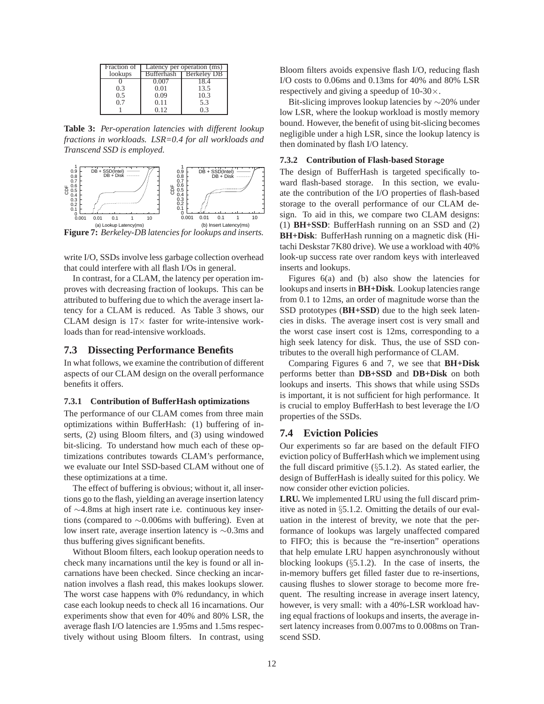| Fraction of | Latency per operation (ms) |                    |  |
|-------------|----------------------------|--------------------|--|
| lookups     | <b>Bufferhash</b>          | <b>Berkeley DB</b> |  |
|             | ን 007                      |                    |  |
| 0.3         | 0.01                       | 13.5               |  |
| 0.5         | 0.09                       | 10.3               |  |
| 0.7         | 0.11                       | 5.3                |  |
|             | 0 12                       |                    |  |

**Table 3:** *Per-operation latencies with different lookup fractions in workloads. LSR=0.4 for all workloads and Transcend SSD is employed.*



write I/O, SSDs involve less garbage collection overhead that could interfere with all flash I/Os in general.

In contrast, for a CLAM, the latency per operation improves with decreasing fraction of lookups. This can be attributed to buffering due to which the average insert latency for a CLAM is reduced. As Table 3 shows, our CLAM design is  $17\times$  faster for write-intensive workloads than for read-intensive workloads.

### **7.3 Dissecting Performance Benefits**

In what follows, we examine the contribution of different aspects of our CLAM design on the overall performance benefits it offers.

#### **7.3.1 Contribution of BufferHash optimizations**

The performance of our CLAM comes from three main optimizations within BufferHash: (1) buffering of inserts, (2) using Bloom filters, and (3) using windowed bit-slicing. To understand how much each of these optimizations contributes towards CLAM's performance, we evaluate our Intel SSD-based CLAM without one of these optimizations at a time.

The effect of buffering is obvious; without it, all insertions go to the flash, yielding an average insertion latency of ∼4.8ms at high insert rate i.e. continuous key insertions (compared to ∼0.006ms with buffering). Even at low insert rate, average insertion latency is ∼0.3ms and thus buffering gives significant benefits.

Without Bloom filters, each lookup operation needs to check many incarnations until the key is found or all incarnations have been checked. Since checking an incarnation involves a flash read, this makes lookups slower. The worst case happens with 0% redundancy, in which case each lookup needs to check all 16 incarnations. Our experiments show that even for 40% and 80% LSR, the average flash I/O latencies are 1.95ms and 1.5ms respectively without using Bloom filters. In contrast, using Bloom filters avoids expensive flash I/O, reducing flash I/O costs to 0.06ms and 0.13ms for 40% and 80% LSR respectively and giving a speedup of  $10-30 \times$ .

Bit-slicing improves lookup latencies by ∼20% under low LSR, where the lookup workload is mostly memory bound. However, the benefit of using bit-slicing becomes negligible under a high LSR, since the lookup latency is then dominated by flash I/O latency.

### **7.3.2 Contribution of Flash-based Storage**

The design of BufferHash is targeted specifically toward flash-based storage. In this section, we evaluate the contribution of the I/O properties of flash-based storage to the overall performance of our CLAM design. To aid in this, we compare two CLAM designs: (1) **BH+SSD**: BufferHash running on an SSD and (2) **BH+Disk**: BufferHash running on a magnetic disk (Hitachi Deskstar 7K80 drive). We use a workload with 40% look-up success rate over random keys with interleaved inserts and lookups.

Figures 6(a) and (b) also show the latencies for lookups and inserts in **BH+Disk**. Lookup latencies range from 0.1 to 12ms, an order of magnitude worse than the SSD prototypes (**BH+SSD**) due to the high seek latencies in disks. The average insert cost is very small and the worst case insert cost is 12ms, corresponding to a high seek latency for disk. Thus, the use of SSD contributes to the overall high performance of CLAM.

Comparing Figures 6 and 7, we see that **BH+Disk** performs better than **DB+SSD** and **DB+Disk** on both lookups and inserts. This shows that while using SSDs is important, it is not sufficient for high performance. It is crucial to employ BufferHash to best leverage the I/O properties of the SSDs.

### **7.4 Eviction Policies**

Our experiments so far are based on the default FIFO eviction policy of BufferHash which we implement using the full discard primitive  $(\S 5.1.2)$ . As stated earlier, the design of BufferHash is ideally suited for this policy. We now consider other eviction policies.

**LRU.** We implemented LRU using the full discard primitive as noted in §5.1.2. Omitting the details of our evaluation in the interest of brevity, we note that the performance of lookups was largely unaffected compared to FIFO; this is because the "re-insertion" operations that help emulate LRU happen asynchronously without blocking lookups (§5.1.2). In the case of inserts, the in-memory buffers get filled faster due to re-insertions, causing flushes to slower storage to become more frequent. The resulting increase in average insert latency, however, is very small: with a 40%-LSR workload having equal fractions of lookups and inserts, the average insert latency increases from 0.007ms to 0.008ms on Transcend SSD.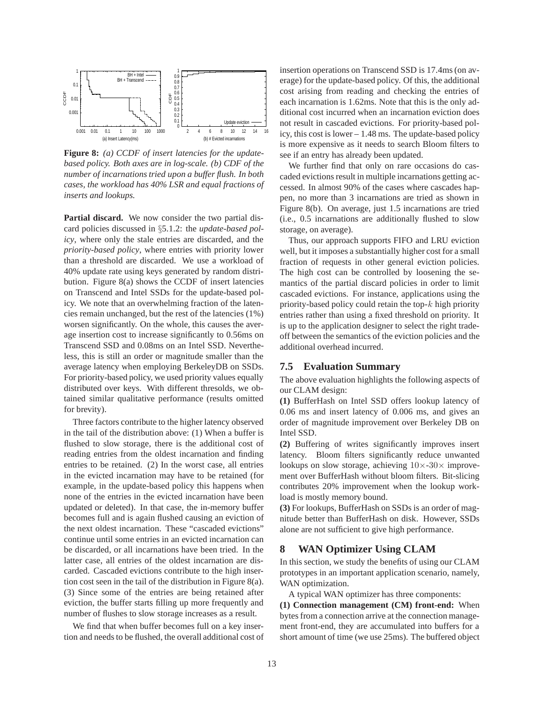

**Figure 8:** *(a) CCDF of insert latencies for the updatebased policy. Both axes are in log-scale. (b) CDF of the number of incarnations tried upon a buffer flush. In both cases, the workload has 40% LSR and equal fractions of inserts and lookups.*

**Partial discard.** We now consider the two partial discard policies discussed in §5.1.2: the *update-based policy*, where only the stale entries are discarded, and the *priority-based policy*, where entries with priority lower than a threshold are discarded. We use a workload of 40% update rate using keys generated by random distribution. Figure 8(a) shows the CCDF of insert latencies on Transcend and Intel SSDs for the update-based policy. We note that an overwhelming fraction of the latencies remain unchanged, but the rest of the latencies (1%) worsen significantly. On the whole, this causes the average insertion cost to increase significantly to 0.56ms on Transcend SSD and 0.08ms on an Intel SSD. Nevertheless, this is still an order or magnitude smaller than the average latency when employing BerkeleyDB on SSDs. For priority-based policy, we used priority values equally distributed over keys. With different thresolds, we obtained similar qualitative performance (results omitted for brevity).

Three factors contribute to the higher latency observed in the tail of the distribution above: (1) When a buffer is flushed to slow storage, there is the additional cost of reading entries from the oldest incarnation and finding entries to be retained. (2) In the worst case, all entries in the evicted incarnation may have to be retained (for example, in the update-based policy this happens when none of the entries in the evicted incarnation have been updated or deleted). In that case, the in-memory buffer becomes full and is again flushed causing an eviction of the next oldest incarnation. These "cascaded evictions" continue until some entries in an evicted incarnation can be discarded, or all incarnations have been tried. In the latter case, all entries of the oldest incarnation are discarded. Cascaded evictions contribute to the high insertion cost seen in the tail of the distribution in Figure 8(a). (3) Since some of the entries are being retained after eviction, the buffer starts filling up more frequently and number of flushes to slow storage increases as a result.

We find that when buffer becomes full on a key insertion and needs to be flushed, the overall additional cost of insertion operations on Transcend SSD is 17.4ms (on average) for the update-based policy. Of this, the additional cost arising from reading and checking the entries of each incarnation is 1.62ms. Note that this is the only additional cost incurred when an incarnation eviction does not result in cascaded evictions. For priority-based policy, this cost is lower – 1.48 ms. The update-based policy is more expensive as it needs to search Bloom filters to see if an entry has already been updated.

We further find that only on rare occasions do cascaded evictions result in multiple incarnations getting accessed. In almost 90% of the cases where cascades happen, no more than 3 incarnations are tried as shown in Figure 8(b). On average, just 1.5 incarnations are tried (i.e., 0.5 incarnations are additionally flushed to slow storage, on average).

Thus, our approach supports FIFO and LRU eviction well, but it imposes a substantially higher cost for a small fraction of requests in other general eviction policies. The high cost can be controlled by loosening the semantics of the partial discard policies in order to limit cascaded evictions. For instance, applications using the priority-based policy could retain the top- $k$  high priority entries rather than using a fixed threshold on priority. It is up to the application designer to select the right tradeoff between the semantics of the eviction policies and the additional overhead incurred.

# **7.5 Evaluation Summary**

The above evaluation highlights the following aspects of our CLAM design:

**(1)** BufferHash on Intel SSD offers lookup latency of 0.06 ms and insert latency of 0.006 ms, and gives an order of magnitude improvement over Berkeley DB on Intel SSD.

**(2)** Buffering of writes significantly improves insert latency. Bloom filters significantly reduce unwanted lookups on slow storage, achieving  $10\times-30\times$  improvement over BufferHash without bloom filters. Bit-slicing contributes 20% improvement when the lookup workload is mostly memory bound.

**(3)** For lookups, BufferHash on SSDs is an order of magnitude better than BufferHash on disk. However, SSDs alone are not sufficient to give high performance.

# **8 WAN Optimizer Using CLAM**

In this section, we study the benefits of using our CLAM prototypes in an important application scenario, namely, WAN optimization.

A typical WAN optimizer has three components:

**(1) Connection management (CM) front-end:** When bytes from a connection arrive at the connection management front-end, they are accumulated into buffers for a short amount of time (we use 25ms). The buffered object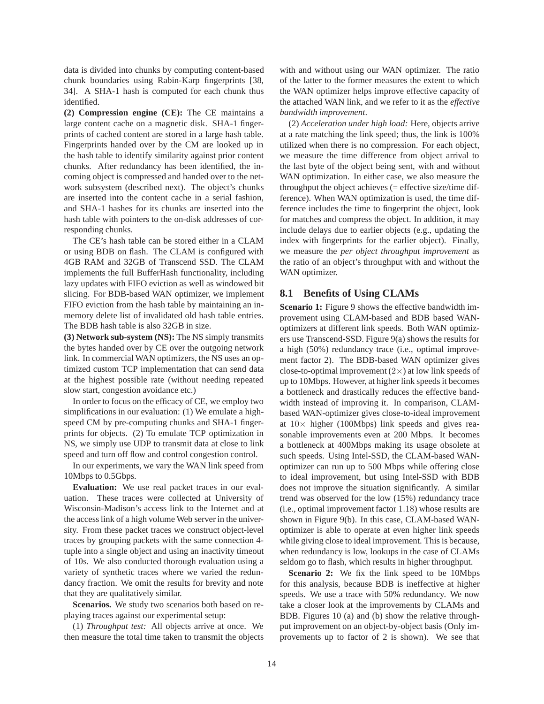data is divided into chunks by computing content-based chunk boundaries using Rabin-Karp fingerprints [38, 34]. A SHA-1 hash is computed for each chunk thus identified.

**(2) Compression engine (CE):** The CE maintains a large content cache on a magnetic disk. SHA-1 fingerprints of cached content are stored in a large hash table. Fingerprints handed over by the CM are looked up in the hash table to identify similarity against prior content chunks. After redundancy has been identified, the incoming object is compressed and handed over to the network subsystem (described next). The object's chunks are inserted into the content cache in a serial fashion, and SHA-1 hashes for its chunks are inserted into the hash table with pointers to the on-disk addresses of corresponding chunks.

The CE's hash table can be stored either in a CLAM or using BDB on flash. The CLAM is configured with 4GB RAM and 32GB of Transcend SSD. The CLAM implements the full BufferHash functionality, including lazy updates with FIFO eviction as well as windowed bit slicing. For BDB-based WAN optimizer, we implement FIFO eviction from the hash table by maintaining an inmemory delete list of invalidated old hash table entries. The BDB hash table is also 32GB in size.

**(3) Network sub-system (NS):** The NS simply transmits the bytes handed over by CE over the outgoing network link. In commercial WAN optimizers, the NS uses an optimized custom TCP implementation that can send data at the highest possible rate (without needing repeated slow start, congestion avoidance etc.)

In order to focus on the efficacy of CE, we employ two simplifications in our evaluation: (1) We emulate a highspeed CM by pre-computing chunks and SHA-1 fingerprints for objects. (2) To emulate TCP optimization in NS, we simply use UDP to transmit data at close to link speed and turn off flow and control congestion control.

In our experiments, we vary the WAN link speed from 10Mbps to 0.5Gbps.

**Evaluation:** We use real packet traces in our evaluation. These traces were collected at University of Wisconsin-Madison's access link to the Internet and at the access link of a high volume Web server in the university. From these packet traces we construct object-level traces by grouping packets with the same connection 4 tuple into a single object and using an inactivity timeout of 10s. We also conducted thorough evaluation using a variety of synthetic traces where we varied the redundancy fraction. We omit the results for brevity and note that they are qualitatively similar.

**Scenarios.** We study two scenarios both based on replaying traces against our experimental setup:

(1) *Throughput test:* All objects arrive at once. We then measure the total time taken to transmit the objects with and without using our WAN optimizer. The ratio of the latter to the former measures the extent to which the WAN optimizer helps improve effective capacity of the attached WAN link, and we refer to it as the *effective bandwidth improvement*.

(2) *Acceleration under high load:* Here, objects arrive at a rate matching the link speed; thus, the link is 100% utilized when there is no compression. For each object, we measure the time difference from object arrival to the last byte of the object being sent, with and without WAN optimization. In either case, we also measure the throughput the object achieves  $(=$  effective size/time difference). When WAN optimization is used, the time difference includes the time to fingerprint the object, look for matches and compress the object. In addition, it may include delays due to earlier objects (e.g., updating the index with fingerprints for the earlier object). Finally, we measure the *per object throughput improvement* as the ratio of an object's throughput with and without the WAN optimizer.

### **8.1 Benefits of Using CLAMs**

**Scenario 1:** Figure 9 shows the effective bandwidth improvement using CLAM-based and BDB based WANoptimizers at different link speeds. Both WAN optimizers use Transcend-SSD. Figure 9(a) shows the results for a high (50%) redundancy trace (i.e., optimal improvement factor 2). The BDB-based WAN optimizer gives close-to-optimal improvement  $(2\times)$  at low link speeds of up to 10Mbps. However, at higher link speeds it becomes a bottleneck and drastically reduces the effective bandwidth instead of improving it. In comparison, CLAMbased WAN-optimizer gives close-to-ideal improvement at  $10\times$  higher (100Mbps) link speeds and gives reasonable improvements even at 200 Mbps. It becomes a bottleneck at 400Mbps making its usage obsolete at such speeds. Using Intel-SSD, the CLAM-based WANoptimizer can run up to 500 Mbps while offering close to ideal improvement, but using Intel-SSD with BDB does not improve the situation significantly. A similar trend was observed for the low (15%) redundancy trace (i.e., optimal improvement factor 1.18) whose results are shown in Figure 9(b). In this case, CLAM-based WANoptimizer is able to operate at even higher link speeds while giving close to ideal improvement. This is because, when redundancy is low, lookups in the case of CLAMs seldom go to flash, which results in higher throughput.

**Scenario 2:** We fix the link speed to be 10Mbps for this analysis, because BDB is ineffective at higher speeds. We use a trace with 50% redundancy. We now take a closer look at the improvements by CLAMs and BDB. Figures 10 (a) and (b) show the relative throughput improvement on an object-by-object basis (Only improvements up to factor of 2 is shown). We see that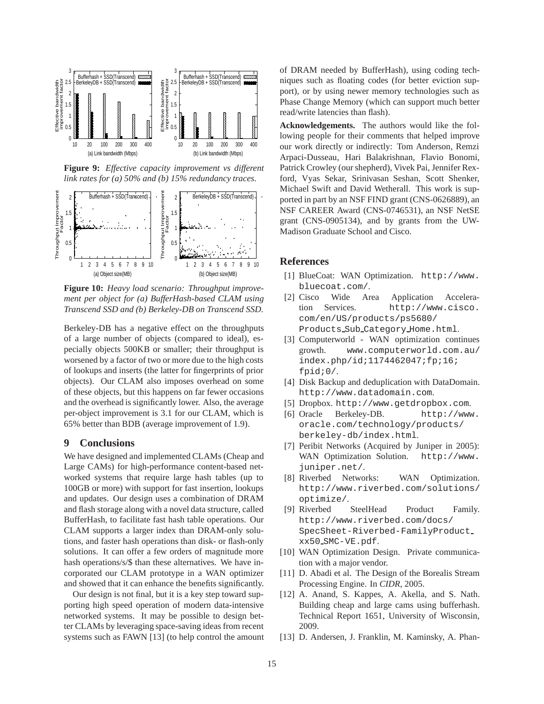

**Figure 9:** *Effective capacity improvement vs different link rates for (a) 50% and (b) 15% redundancy traces.*



**Figure 10:** *Heavy load scenario: Throughput improvement per object for (a) BufferHash-based CLAM using Transcend SSD and (b) Berkeley-DB on Transcend SSD.*

Berkeley-DB has a negative effect on the throughputs of a large number of objects (compared to ideal), especially objects 500KB or smaller; their throughput is worsened by a factor of two or more due to the high costs of lookups and inserts (the latter for fingerprints of prior objects). Our CLAM also imposes overhead on some of these objects, but this happens on far fewer occasions and the overhead is significantly lower. Also, the average per-object improvement is 3.1 for our CLAM, which is 65% better than BDB (average improvement of 1.9).

#### **9 Conclusions**

We have designed and implemented CLAMs (Cheap and Large CAMs) for high-performance content-based networked systems that require large hash tables (up to 100GB or more) with support for fast insertion, lookups and updates. Our design uses a combination of DRAM and flash storage along with a novel data structure, called BufferHash, to facilitate fast hash table operations. Our CLAM supports a larger index than DRAM-only solutions, and faster hash operations than disk- or flash-only solutions. It can offer a few orders of magnitude more hash operations/s/\$ than these alternatives. We have incorporated our CLAM prototype in a WAN optimizer and showed that it can enhance the benefits significantly.

Our design is not final, but it is a key step toward supporting high speed operation of modern data-intensive networked systems. It may be possible to design better CLAMs by leveraging space-saving ideas from recent systems such as FAWN [13] (to help control the amount of DRAM needed by BufferHash), using coding techniques such as floating codes (for better eviction support), or by using newer memory technologies such as Phase Change Memory (which can support much better read/write latencies than flash).

**Acknowledgements.** The authors would like the following people for their comments that helped improve our work directly or indirectly: Tom Anderson, Remzi Arpaci-Dusseau, Hari Balakrishnan, Flavio Bonomi, Patrick Crowley (our shepherd), Vivek Pai, Jennifer Rexford, Vyas Sekar, Srinivasan Seshan, Scott Shenker, Michael Swift and David Wetherall. This work is supported in part by an NSF FIND grant (CNS-0626889), an NSF CAREER Award (CNS-0746531), an NSF NetSE grant (CNS-0905134), and by grants from the UW-Madison Graduate School and Cisco.

## **References**

- [1] BlueCoat: WAN Optimization. http://www. bluecoat.com/.
- [2] Cisco Wide Area Application Acceleration Services. http://www.cisco. com/en/US/products/ps5680/ Products Sub Category Home.html.
- [3] Computerworld WAN optimization continues growth. www.computerworld.com.au/ index.php/id;1174462047;fp;16; fpid;0/.
- [4] Disk Backup and deduplication with DataDomain. http://www.datadomain.com.
- [5] Dropbox. http://www.getdropbox.com.
- [6] Oracle Berkeley-DB. http://www. oracle.com/technology/products/ berkeley-db/index.html.
- [7] Peribit Networks (Acquired by Juniper in 2005): WAN Optimization Solution. http://www. juniper.net/.
- [8] Riverbed Networks: WAN Optimization. http://www.riverbed.com/solutions/ optimize/.
- [9] Riverbed SteelHead Product Family. http://www.riverbed.com/docs/ SpecSheet-Riverbed-FamilyProduct xx50 SMC-VE.pdf.
- [10] WAN Optimization Design. Private communication with a major vendor.
- [11] D. Abadi et al. The Design of the Borealis Stream Processing Engine. In *CIDR*, 2005.
- [12] A. Anand, S. Kappes, A. Akella, and S. Nath. Building cheap and large cams using bufferhash. Technical Report 1651, University of Wisconsin, 2009.
- [13] D. Andersen, J. Franklin, M. Kaminsky, A. Phan-